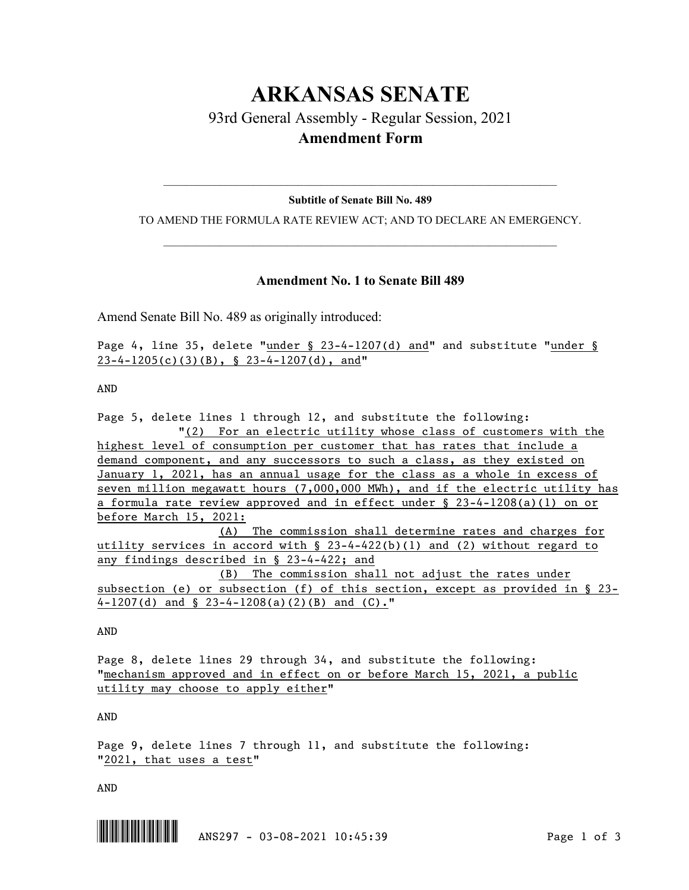# **ARKANSAS SENATE** 93rd General Assembly - Regular Session, 2021 **Amendment Form**

# $\_$  , and the set of the set of the set of the set of the set of the set of the set of the set of the set of the set of the set of the set of the set of the set of the set of the set of the set of the set of the set of th **Subtitle of Senate Bill No. 489**

TO AMEND THE FORMULA RATE REVIEW ACT; AND TO DECLARE AN EMERGENCY.  $\_$  , and the set of the set of the set of the set of the set of the set of the set of the set of the set of the set of the set of the set of the set of the set of the set of the set of the set of the set of the set of th

# **Amendment No. 1 to Senate Bill 489**

Amend Senate Bill No. 489 as originally introduced:

Page 4, line 35, delete "under § 23-4-1207(d) and" and substitute "under § 23-4-1205(c)(3)(B), § 23-4-1207(d), and"

AND

Page 5, delete lines 1 through 12, and substitute the following: "(2) For an electric utility whose class of customers with the highest level of consumption per customer that has rates that include a demand component, and any successors to such a class, as they existed on January 1, 2021, has an annual usage for the class as a whole in excess of seven million megawatt hours (7,000,000 MWh), and if the electric utility has a formula rate review approved and in effect under § 23-4-1208(a)(1) on or before March 15, 2021: (A) The commission shall determine rates and charges for utility services in accord with  $\S$  23-4-422(b)(1) and (2) without regard to any findings described in § 23-4-422; and (B) The commission shall not adjust the rates under subsection (e) or subsection (f) of this section, except as provided in § 23- 4-1207(d) and § 23-4-1208(a)(2)(B) and (C)."

AND

Page 8, delete lines 29 through 34, and substitute the following: "mechanism approved and in effect on or before March 15, 2021, a public utility may choose to apply either"

AND

Page 9, delete lines 7 through 11, and substitute the following: "2021, that uses a test"

AND

 $\begin{array}{|c|c|c|c|c|c|c|c|}\hline \multicolumn{3}{|c|}{\textbf{1}} & \multicolumn{3}{|c|}{\textbf{1}} & \multicolumn{3}{|c|}{\textbf{1}} & \multicolumn{3}{|c|}{\textbf{1}} & \multicolumn{3}{|c|}{\textbf{1}} & \multicolumn{3}{|c|}{\textbf{1}} & \multicolumn{3}{|c|}{\textbf{1}} & \multicolumn{3}{|c|}{\textbf{1}} & \multicolumn{3}{|c|}{\textbf{1}} & \multicolumn{3}{|c|}{\textbf{1}} & \multicolumn{3}{|c|}{\textbf{$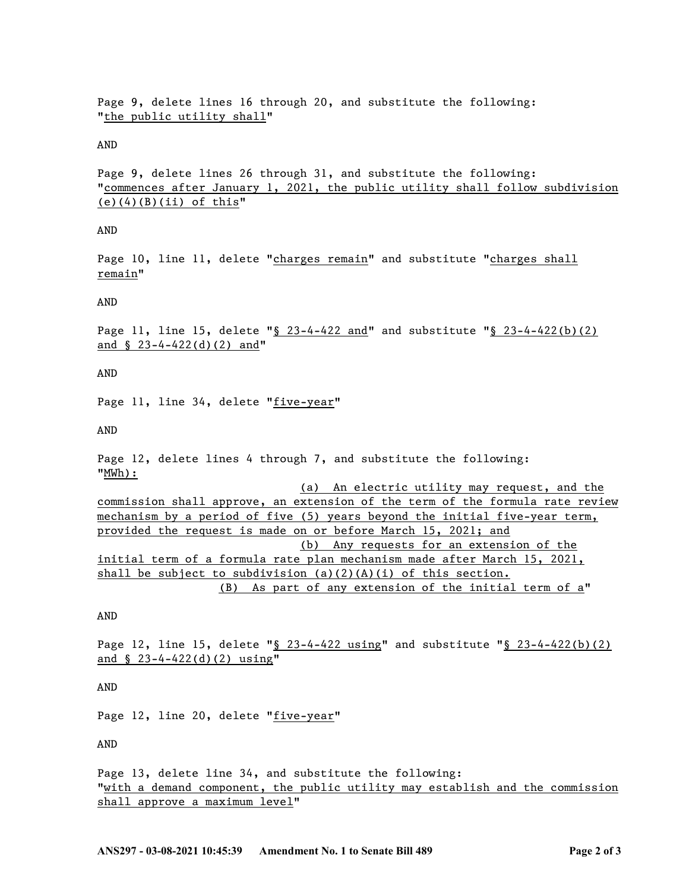Page 9, delete lines 16 through 20, and substitute the following: "the public utility shall"

#### AND

Page 9, delete lines 26 through 31, and substitute the following: "commences after January 1, 2021, the public utility shall follow subdivision  $(e)(4)(B)(ii)$  of this"

## AND

Page 10, line 11, delete "charges remain" and substitute "charges shall remain"

#### AND

Page 11, line 15, delete "§ 23-4-422 and" and substitute "§ 23-4-422(b)(2) and § 23-4-422(d)(2) and"

AND

Page 11, line 34, delete "five-year"

AND

Page 12, delete lines 4 through 7, and substitute the following: "MWh):

(a) An electric utility may request, and the commission shall approve, an extension of the term of the formula rate review mechanism by a period of five (5) years beyond the initial five-year term, provided the request is made on or before March 15, 2021; and (b) Any requests for an extension of the initial term of a formula rate plan mechanism made after March 15, 2021, shall be subject to subdivision  $(a)(2)(A)(i)$  of this section. (B) As part of any extension of the initial term of a"

## AND

Page 12, line 15, delete "§ 23-4-422 using" and substitute "§ 23-4-422(b)(2) and § 23-4-422(d)(2) using"

AND

Page 12, line 20, delete "five-year"

AND

Page 13, delete line 34, and substitute the following: "with a demand component, the public utility may establish and the commission shall approve a maximum level"